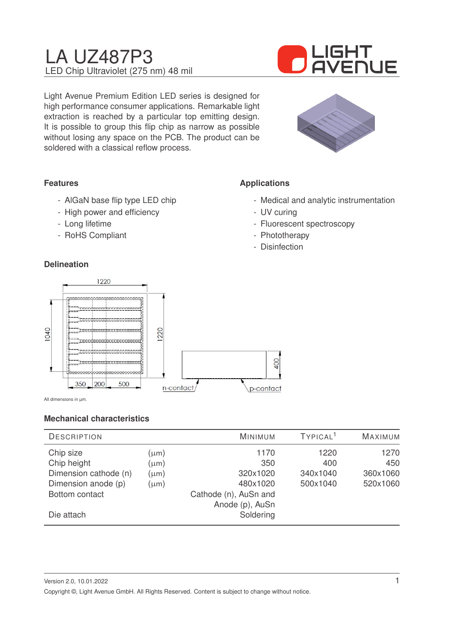# LA UZ487P3 LED Chip Ultraviolet (275 nm) 48 mil



Light Avenue Premium Edition LED series is designed for high performance consumer applications. Remarkable light extraction is reached by a particular top emitting design. It is possible to group this flip chip as narrow as possible without losing any space on the PCB. The product can be soldered with a classical reflow process.



# **Features**

- AlGaN base flip type LED chip
- High power and efficiency
- Long lifetime
- RoHS Compliant

### **Delineation**

# **Applications**

- Medical and analytic instrumentation
- UV curing
- Fluorescent spectroscopy
- Phototherapy
- Disinfection



All dimensions in µm.

#### **Mechanical characteristics**

| <b>DESCRIPTION</b>    |           | MINIMUM               | TYPICAL <sup>1</sup> | <b>MAXIMUM</b> |
|-----------------------|-----------|-----------------------|----------------------|----------------|
| Chip size             | $(\mu m)$ | 1170                  | 1220                 | 1270           |
| Chip height           | $(\mu m)$ | 350                   | 400                  | 450            |
| Dimension cathode (n) | $(\mu m)$ | 320x1020              | 340x1040             | 360x1060       |
| Dimension anode (p)   | $(\mu m)$ | 480x1020              | 500x1040             | 520x1060       |
| Bottom contact        |           | Cathode (n), AuSn and |                      |                |
|                       |           | Anode (p), AuSn       |                      |                |
| Die attach            |           | Soldering             |                      |                |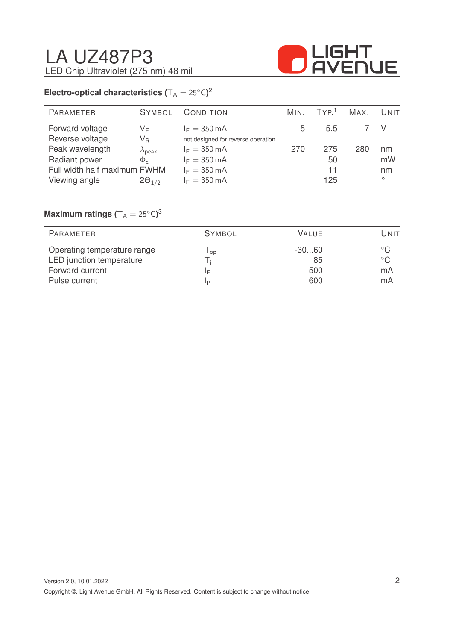

# **Electro-optical characteristics (** $T_A = 25^{\circ}C$ )<sup>2</sup>

| PARAMETER                    | <b>SYMBOL</b>           | CONDITION                          | M <sub>IN</sub> | TYP <sup>1</sup> | MAX. | UNIT    |
|------------------------------|-------------------------|------------------------------------|-----------------|------------------|------|---------|
| Forward voltage              | VF                      | $I_F = 350 \text{ mA}$             | 5               | 5.5              |      |         |
| Reverse voltage              | $\mathsf{V}_\mathsf{R}$ | not designed for reverse operation |                 |                  |      |         |
| Peak wavelength              | $\lambda_{\sf peak}$    | $I_F = 350 \text{ mA}$             | 270             | 275              | 280  | nm      |
| Radiant power                | $\Phi_{\alpha}$         | $I_F = 350 \text{ mA}$             |                 | 50               |      | mW      |
| Full width half maximum FWHM |                         | $I_F = 350 \text{ mA}$             |                 | 11               |      | nm      |
| Viewing angle                | $2\Theta_{1/2}$         | $I_F = 350 \text{ mA}$             |                 | 125              |      | $\circ$ |
|                              |                         |                                    |                 |                  |      |         |

# $\mathsf{Maximum}$  ratings  $(\mathsf{T_A} = 25^\circ\mathsf{C})^3$

| <b>PARAMETER</b>                                                           | <b>SYMBOL</b> | <b>VALUE</b>        | UNIT                                |
|----------------------------------------------------------------------------|---------------|---------------------|-------------------------------------|
| Operating temperature range<br>LED junction temperature<br>Forward current | Op.<br>ΙF     | -30…60<br>85<br>500 | $^{\circ}$ C.<br>$^{\circ}$ C<br>mA |
| Pulse current                                                              | IP            | 600                 | mA                                  |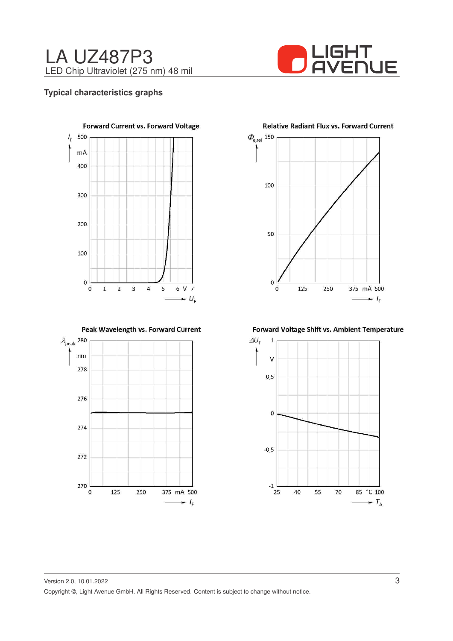



### **Typical characteristics graphs**



Peak Wavelength vs. Forward Current



**Relative Radiant Flux vs. Forward Current** 



Forward Voltage Shift vs. Ambient Temperature

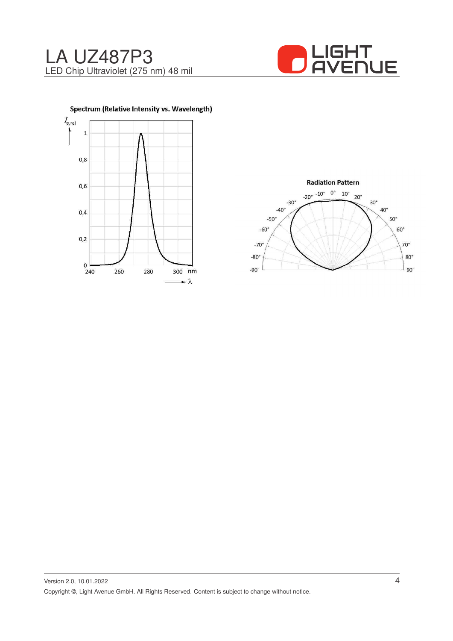





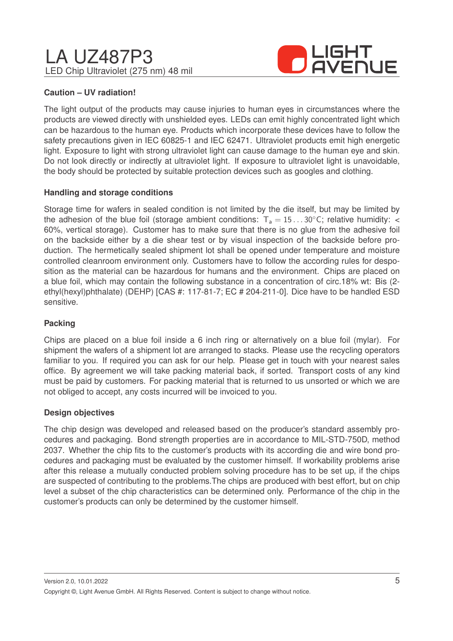# LA UZ487P3 LED Chip Ultraviolet (275 nm) 48 mil



## **Caution – UV radiation!**

The light output of the products may cause injuries to human eyes in circumstances where the products are viewed directly with unshielded eyes. LEDs can emit highly concentrated light which can be hazardous to the human eye. Products which incorporate these devices have to follow the safety precautions given in IEC 60825-1 and IEC 62471. Ultraviolet products emit high energetic light. Exposure to light with strong ultraviolet light can cause damage to the human eye and skin. Do not look directly or indirectly at ultraviolet light. If exposure to ultraviolet light is unavoidable, the body should be protected by suitable protection devices such as googles and clothing.

### **Handling and storage conditions**

Storage time for wafers in sealed condition is not limited by the die itself, but may be limited by the adhesion of the blue foil (storage ambient conditions:  $T_a = 15...30^{\circ}$ C; relative humidity: < 60%, vertical storage). Customer has to make sure that there is no glue from the adhesive foil on the backside either by a die shear test or by visual inspection of the backside before production. The hermetically sealed shipment lot shall be opened under temperature and moisture controlled cleanroom environment only. Customers have to follow the according rules for desposition as the material can be hazardous for humans and the environment. Chips are placed on a blue foil, which may contain the following substance in a concentration of circ.18% wt: Bis (2 ethyl(hexyl)phthalate) (DEHP) [CAS #: 117-81-7; EC # 204-211-0]. Dice have to be handled ESD sensitive.

## **Packing**

Chips are placed on a blue foil inside a 6 inch ring or alternatively on a blue foil (mylar). For shipment the wafers of a shipment lot are arranged to stacks. Please use the recycling operators familiar to you. If required you can ask for our help. Please get in touch with your nearest sales office. By agreement we will take packing material back, if sorted. Transport costs of any kind must be paid by customers. For packing material that is returned to us unsorted or which we are not obliged to accept, any costs incurred will be invoiced to you.

#### **Design objectives**

The chip design was developed and released based on the producer's standard assembly procedures and packaging. Bond strength properties are in accordance to MIL-STD-750D, method 2037. Whether the chip fits to the customer's products with its according die and wire bond procedures and packaging must be evaluated by the customer himself. If workability problems arise after this release a mutually conducted problem solving procedure has to be set up, if the chips are suspected of contributing to the problems.The chips are produced with best effort, but on chip level a subset of the chip characteristics can be determined only. Performance of the chip in the customer's products can only be determined by the customer himself.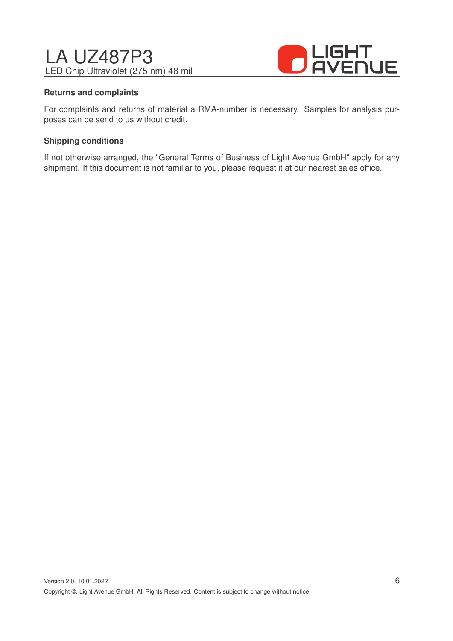# LA UZ487P3 LED Chip Ultraviolet (275 nm) 48 mil



### **Returns and complaints**

For complaints and returns of material a RMA-number is necessary. Samples for analysis purposes can be send to us without credit.

### **Shipping conditions**

If not otherwise arranged, the "General Terms of Business of Light Avenue GmbH" apply for any shipment. If this document is not familiar to you, please request it at our nearest sales office.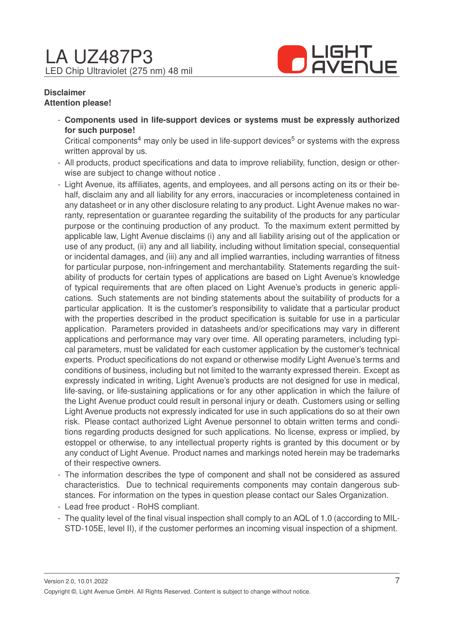

### **Disclaimer Attention please!**

- **Components used in life-support devices or systems must be expressly authorized for such purpose!**

Critical components<sup>4</sup> may only be used in life-support devices<sup>5</sup> or systems with the express written approval by us.

- All products, product specifications and data to improve reliability, function, design or otherwise are subject to change without notice .
- Light Avenue, its affiliates, agents, and employees, and all persons acting on its or their behalf, disclaim any and all liability for any errors, inaccuracies or incompleteness contained in any datasheet or in any other disclosure relating to any product. Light Avenue makes no warranty, representation or guarantee regarding the suitability of the products for any particular purpose or the continuing production of any product. To the maximum extent permitted by applicable law, Light Avenue disclaims (i) any and all liability arising out of the application or use of any product, (ii) any and all liability, including without limitation special, consequential or incidental damages, and (iii) any and all implied warranties, including warranties of fitness for particular purpose, non-infringement and merchantability. Statements regarding the suitability of products for certain types of applications are based on Light Avenue's knowledge of typical requirements that are often placed on Light Avenue's products in generic applications. Such statements are not binding statements about the suitability of products for a particular application. It is the customer's responsibility to validate that a particular product with the properties described in the product specification is suitable for use in a particular application. Parameters provided in datasheets and/or specifications may vary in different applications and performance may vary over time. All operating parameters, including typical parameters, must be validated for each customer application by the customer's technical experts. Product specifications do not expand or otherwise modify Light Avenue's terms and conditions of business, including but not limited to the warranty expressed therein. Except as expressly indicated in writing, Light Avenue's products are not designed for use in medical, life-saving, or life-sustaining applications or for any other application in which the failure of the Light Avenue product could result in personal injury or death. Customers using or selling Light Avenue products not expressly indicated for use in such applications do so at their own risk. Please contact authorized Light Avenue personnel to obtain written terms and conditions regarding products designed for such applications. No license, express or implied, by estoppel or otherwise, to any intellectual property rights is granted by this document or by any conduct of Light Avenue. Product names and markings noted herein may be trademarks of their respective owners.
- The information describes the type of component and shall not be considered as assured characteristics. Due to technical requirements components may contain dangerous substances. For information on the types in question please contact our Sales Organization.
- Lead free product RoHS compliant.
- The quality level of the final visual inspection shall comply to an AQL of 1.0 (according to MIL-STD-105E, level II), if the customer performes an incoming visual inspection of a shipment.